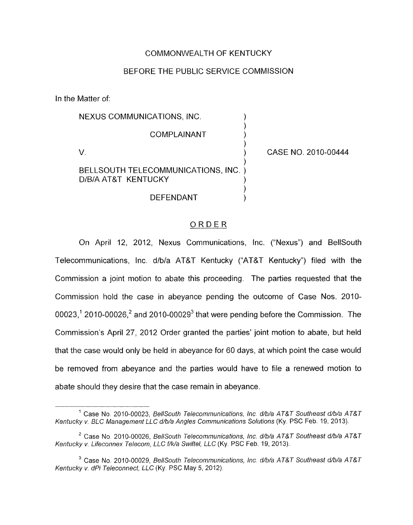## COMMONWEALTH OF KENTUCKY

## BEFORE THE PUBLIC SERVICE COMMISSION

In the Matter of:

| NEXUS COMMUNICATIONS, INC.                                  |                     |
|-------------------------------------------------------------|---------------------|
| COMPLAINANT                                                 |                     |
|                                                             | CASE NO. 2010-00444 |
| BELLSOUTH TELECOMMUNICATIONS, INC. )<br>D/B/A AT&T KENTUCKY |                     |
| DEFENDANT                                                   |                     |

## ORDER

On April 12, 2012, Nexus Communications, Inc. ("Nexus") and BellSouth Telecommunications, Inc. d/b/a AT&T Kentucky ("AT&T Kentucky") filed with the Commission a joint motion to abate this proceeding. The parties requested that the Commission hold the case in abeyance pending the outcome of Case Nos. 2010- 00023,<sup>1</sup> 2010-00026,<sup>2</sup> and 2010-00029<sup>3</sup> that were pending before the Commission. The Commission's April 27, 2012 Order granted the parties' joint motion *to* abate, but held that the case would only be held in abeyance for 60 days, at which point the case would be removed from abeyance and the parties would have to file a renewed motion to abate should they desire that the case remain in abeyance.

<sup>&</sup>lt;sup>1</sup> Case No. 2010-00023, *BellSouth Telecommunications, Inc. d/b/a AT&T Southeast d/b/a AT&T* Kentucky v. BLC Management LLC d/b/a Angles Communications Solutions (Ky. PSC Feb. 19, 2013).

<sup>&</sup>lt;sup>2</sup> Case No. 2010-00026, *BellSouth Telecommunications, Inc. d/b/a AT&T Southeast d/b/a AT&T* Kentucky v. Lifeconnex Telecom, LLC f/k/a Swiftel, LLC (Ky. PSC Feb. 19, 2013).

<sup>&</sup>lt;sup>3</sup> Case No. 2010-00029, *BellSouth Telecommunications, Inc. d/b/a AT&T Southeast d/b/a AT&T* Kentucky v. dPi Teleconnect, LLC (Ky. PSC May 5, 2012).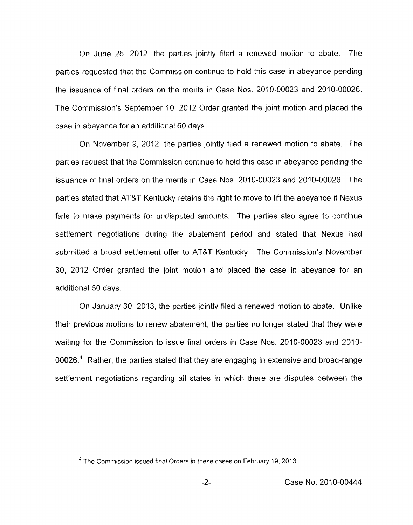On June 26, 2012, the parties jointly filed a renewed motion to abate. The parties requested that the Commission continue to hold this case in abeyance pending the issuance of final orders on the merits in Case Nos. 2010-00023 and 2010-00026. The Commission's September IO, 2012 Order granted the joint motion and placed the case in abeyance for an additional 60 days.

On November 9, 2012, the parties jointly filed a renewed motion to abate. The parties request that the Commission continue to hold this case in abeyance pending the issuance of final orders on the merits in Case Nos. 2010-00023 and 2010-00026. The parties stated that AT&T Kentucky retains the right to move to lift the abeyance if Nexus fails to make payments for undisputed amounts. The parties also agree to continue settlement negotiations during the abatement period and stated that Nexus had submitted a broad settlement offer to AT&T Kentucky. The Commission's November 30, 2012 Order granted the joint motion and placed the case in abeyance for an additional 60 days.

On January 30, 2013, the parties jointly filed a renewed motion to abate. Unlike their previous motions to renew abatement, the parties no longer stated that they were waiting for the Commission to issue final orders in Case Nos. 2010-00023 and 2010- 00026.4 Rather, the parties stated that they are engaging in extensive and broad-range settlement negotiations regarding all states in which there are disputes between the

<sup>&</sup>lt;sup>4</sup> The Commission issued final Orders in these cases on February 19, 2013.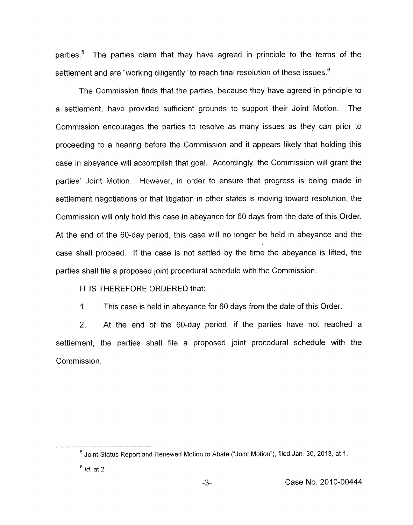parties.<sup>5</sup> The parties claim that they have agreed in principle to the terms of the settlement and are "working diligently" to reach final resolution of these issues.<sup>6</sup>

The Commission finds that the parties, because they have agreed in principle to a settlement, have provided sufficient grounds to support their Joint Motion. The Commission encourages the parties to resolve as many issues as they can prior to proceeding to a hearing before the Commission and it appears likely that holding this case in abeyance will accomplish that goal. Accordingly, the Commission will grant the parties' Joint Motion. However, in order to ensure that progress is being made in settlement negotiations or that litigation in other states is moving toward resolution, the Commission will only hold this case in abeyance for 60 days from the date of this Order. At the end of the 60-day period, this case will no longer be held in abeyance and the case shall proceed. If the case is not settled by the time the abeyance is lifted, the parties shall file a proposed joint procedural schedule with the Commission.

IT IS THEREFORE ORDERED that:

1 This case is held in abeyance for 60 days from the date of this Order.

2. At the end of the 60-day period, if the parties have not reached a settlement, the parties shall file a proposed joint procedural schedule with the Commission.

<sup>&</sup>lt;sup>5</sup> Joint Status Report and Renewed Motion to Abate ("Joint Motion"), filed Jan. 30, 2013, at 1.

 $<sup>6</sup>$  *Id.* at 2.</sup>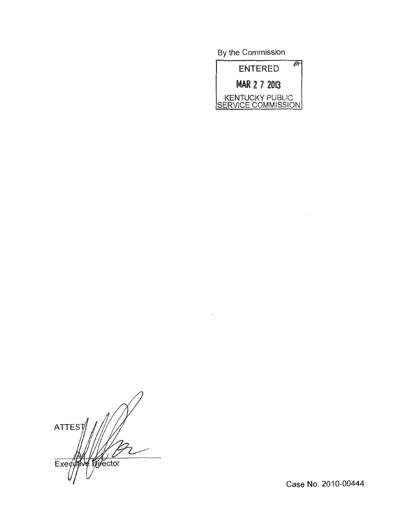By the Commission



 $\overline{\phantom{a}}$ 

ATTEST Executive Evector

Case No. 2010-00444